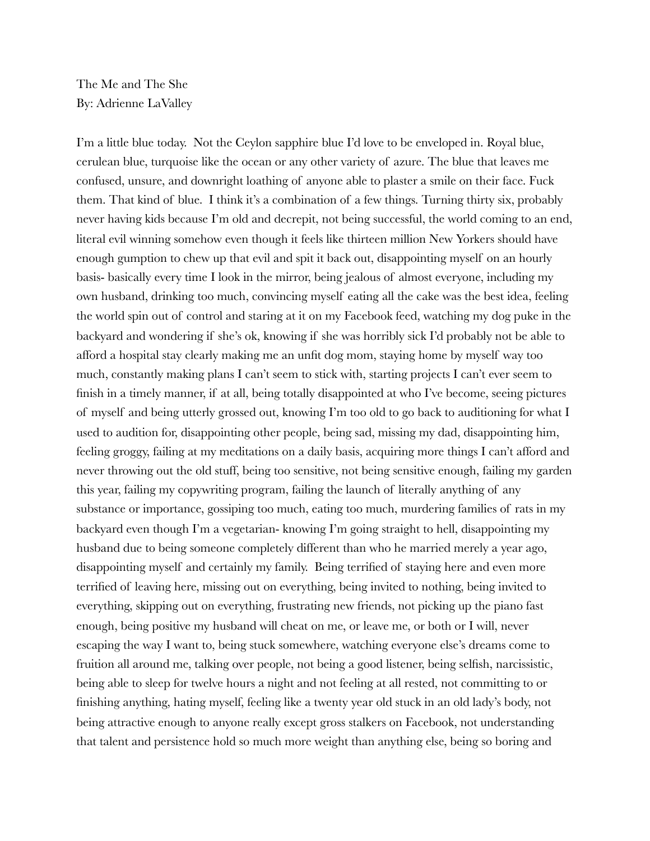The Me and The She By: Adrienne LaValley

I'm a little blue today. Not the Ceylon sapphire blue I'd love to be enveloped in. Royal blue, cerulean blue, turquoise like the ocean or any other variety of azure. The blue that leaves me confused, unsure, and downright loathing of anyone able to plaster a smile on their face. Fuck them. That kind of blue. I think it's a combination of a few things. Turning thirty six, probably never having kids because I'm old and decrepit, not being successful, the world coming to an end, literal evil winning somehow even though it feels like thirteen million New Yorkers should have enough gumption to chew up that evil and spit it back out, disappointing myself on an hourly basis- basically every time I look in the mirror, being jealous of almost everyone, including my own husband, drinking too much, convincing myself eating all the cake was the best idea, feeling the world spin out of control and staring at it on my Facebook feed, watching my dog puke in the backyard and wondering if she's ok, knowing if she was horribly sick I'd probably not be able to afford a hospital stay clearly making me an unfit dog mom, staying home by myself way too much, constantly making plans I can't seem to stick with, starting projects I can't ever seem to finish in a timely manner, if at all, being totally disappointed at who I've become, seeing pictures of myself and being utterly grossed out, knowing I'm too old to go back to auditioning for what I used to audition for, disappointing other people, being sad, missing my dad, disappointing him, feeling groggy, failing at my meditations on a daily basis, acquiring more things I can't afford and never throwing out the old stuff, being too sensitive, not being sensitive enough, failing my garden this year, failing my copywriting program, failing the launch of literally anything of any substance or importance, gossiping too much, eating too much, murdering families of rats in my backyard even though I'm a vegetarian- knowing I'm going straight to hell, disappointing my husband due to being someone completely different than who he married merely a year ago, disappointing myself and certainly my family. Being terrified of staying here and even more terrified of leaving here, missing out on everything, being invited to nothing, being invited to everything, skipping out on everything, frustrating new friends, not picking up the piano fast enough, being positive my husband will cheat on me, or leave me, or both or I will, never escaping the way I want to, being stuck somewhere, watching everyone else's dreams come to fruition all around me, talking over people, not being a good listener, being selfish, narcissistic, being able to sleep for twelve hours a night and not feeling at all rested, not committing to or finishing anything, hating myself, feeling like a twenty year old stuck in an old lady's body, not being attractive enough to anyone really except gross stalkers on Facebook, not understanding that talent and persistence hold so much more weight than anything else, being so boring and